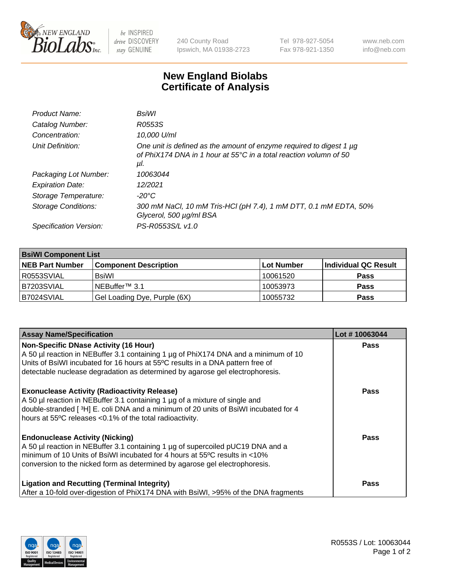

 $be$  INSPIRED drive DISCOVERY stay GENUINE

240 County Road Ipswich, MA 01938-2723 Tel 978-927-5054 Fax 978-921-1350 www.neb.com info@neb.com

## **New England Biolabs Certificate of Analysis**

| Product Name:              | BsiWl                                                                                                                                                     |
|----------------------------|-----------------------------------------------------------------------------------------------------------------------------------------------------------|
| Catalog Number:            | R0553S                                                                                                                                                    |
| Concentration:             | 10,000 U/ml                                                                                                                                               |
| Unit Definition:           | One unit is defined as the amount of enzyme required to digest 1 µg<br>of PhiX174 DNA in 1 hour at $55^{\circ}$ C in a total reaction volumn of 50<br>μl. |
| Packaging Lot Number:      | 10063044                                                                                                                                                  |
| <b>Expiration Date:</b>    | 12/2021                                                                                                                                                   |
| Storage Temperature:       | $-20^{\circ}$ C                                                                                                                                           |
| <b>Storage Conditions:</b> | 300 mM NaCl, 10 mM Tris-HCl (pH 7.4), 1 mM DTT, 0.1 mM EDTA, 50%<br>Glycerol, 500 µg/ml BSA                                                               |
| Specification Version:     | PS-R0553S/L v1.0                                                                                                                                          |

| <b>BsiWI Component List</b> |                              |             |                      |  |
|-----------------------------|------------------------------|-------------|----------------------|--|
| <b>NEB Part Number</b>      | <b>Component Description</b> | ∣Lot Number | Individual QC Result |  |
| R0553SVIAL                  | <b>BsiWI</b>                 | 10061520    | <b>Pass</b>          |  |
| B7203SVIAL                  | NEBuffer <sup>™</sup> 3.1    | 10053973    | <b>Pass</b>          |  |
| B7024SVIAL                  | Gel Loading Dye, Purple (6X) | 10055732    | <b>Pass</b>          |  |

| <b>Assay Name/Specification</b>                                                                                                                                                                                                                                                                        | Lot #10063044 |
|--------------------------------------------------------------------------------------------------------------------------------------------------------------------------------------------------------------------------------------------------------------------------------------------------------|---------------|
| <b>Non-Specific DNase Activity (16 Hour)</b><br>A 50 µl reaction in NEBuffer 3.1 containing 1 µg of PhiX174 DNA and a minimum of 10<br>Units of BsiWI incubated for 16 hours at 55°C results in a DNA pattern free of<br>detectable nuclease degradation as determined by agarose gel electrophoresis. | <b>Pass</b>   |
| <b>Exonuclease Activity (Radioactivity Release)</b><br>A 50 µl reaction in NEBuffer 3.1 containing 1 µg of a mixture of single and<br>double-stranded [3H] E. coli DNA and a minimum of 20 units of BsiWI incubated for 4<br>hours at 55°C releases <0.1% of the total radioactivity.                  | <b>Pass</b>   |
| <b>Endonuclease Activity (Nicking)</b><br>A 50 µl reaction in NEBuffer 3.1 containing 1 µg of supercoiled pUC19 DNA and a<br>minimum of 10 Units of BsiWI incubated for 4 hours at 55°C results in <10%<br>conversion to the nicked form as determined by agarose gel electrophoresis.                 | Pass          |
| <b>Ligation and Recutting (Terminal Integrity)</b><br>After a 10-fold over-digestion of PhiX174 DNA with BsiWI, >95% of the DNA fragments                                                                                                                                                              | Pass          |